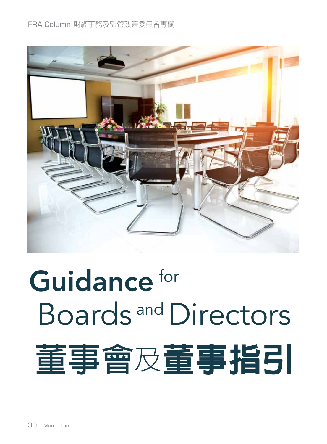

# Guidance for Boards and Directors **董事會**及董事指引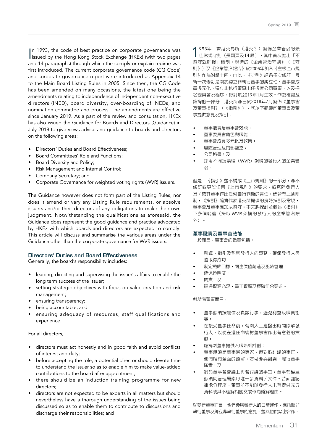In 1993, the code of best practice on corporate governance was issued by the Hong Kong Stock Exchange (HKEx) (with two pages In 1993, the code of best practice on corporate governance was and 14 paragraphs) through which the comply or explain regime was first introduced. The current corporate governance code (CG Code) and corporate governance report were introduced as Appendix 14 to the Main Board Listing Rules in 2005. Since then, the CG Code has been amended on many occasions, the latest one being the amendments relating to independence of independent non-executive directors (INED), board diversity, over-boarding of INEDs, and nomination committee and process. The amendments are effective since January 2019. As a part of the review and consultation, HKEx has also issued the Guidance for Boards and Directors (Guidance) in July 2018 to give views advice and guidance to boards and directors on the following areas:

- Directors' Duties and Board Effectiveness;
- Board Committees' Role and Functions;
- Board Diversity and Policy;
- Risk Management and Internal Control;
- Company Secretary; and
- Corporate Governance for weighted voting rights (WVR) issuers.

The Guidance however does not form part of the Listing Rules, nor does it amend or vary any Listing Rule requirements, or absolve issuers and/or their directors of any obligations to make their own judgment. Notwithstanding the qualifications as aforesaid, the Guidance does represent the good guidance and practice advocated by HKEx with which boards and directors are expected to comply. This article will discuss and summarise the various areas under the Guidance other than the corporate governance for WVR issuers.

#### **Directors' Duties and Board Effectiveness**

Generally, the board's responsibility includes:

- leading, directing and supervising the issuer's affairs to enable the long term success of the issuer;
- setting strategic objectives with focus on value creation and risk management;
- ensuring transparency;
- being accountable; and
- ensuring adequacy of resources, staff qualifications and experience.

## For all directors,

- directors must act honestly and in good faith and avoid conflicts of interest and duty;
- before accepting the role, a potential director should devote time to understand the issuer so as to enable him to make value-added contributions to the board after appointment;
- there should be an induction training programme for new directors;
- directors are not expected to be experts in all matters but should nevertheless have a thorough understanding of the issues being discussed so as to enable them to contribute to discussions and discharge their responsibilities; and

1993年,香港交易所(港交所)發佈企業管治的最 佳常規守則(長兩頁及14 段),其中首次推出「不 遵守就解釋」機制。現時的《企業管治守則》(《守 則》)及《企業管治報告》於2005年加入《主板上市規 則》作為附錄十四。自此,《守則》經過多次修訂,最 新一次修訂是關於獨立非執行董事的獨立性、董事會成 員多元化、獨立非執行董事出任多家公司董事,以及提 名委員會及程序。修訂於2019年1月生效。作為檢討及 諮詢的一部分,港交所亦已於2018年7月發佈《董事會 及董事指引》(《指引》),就以下範疇向董事會及董 事提供意見及指引:

- 董事職責及董事會效能;
- 董事委員會角色與職能;
- 董事會成員多元化及政策;
- 風險管理及內部監控;
- 公司秘書;及
- 採用不同投票權(WVR)架構的發行人的企業管 治。

但是,《指引》並不構成《上市規則》的一部分,亦不 修訂或更改任何《上市規則》的要求,或免除發行人 及/或其董事作出任何自行判斷的責任。儘管有上述限 制,《指引》確實代表港交所提倡的良好指引及常規, 董事會及董事應加以遵守。本文將探討並概述《指引》 下多個範疇(採取 WVR 架構的發行人的企業管治除 外)。

#### **董事職責及董事會效能**

一般而言,董事會的職責包括:

- 引導、指引及監察發行人的事務,確保發行人長 遠取得成功;
- 制定戰略目標,關注價值創造及風險管理;
- 確保透明度;
- 問責;及
- 確保資源充足,員工資歷及經驗符合要求。

對所有董事而言,

- 董事必須按誠信及真誠行事,避免利益及職責衝 突;
- 在接受董事任命前,有關人士應撥出時間瞭解發 行人,以便在獲任命後對董事會作出有意義的貢 獻;
- 應為新董事提供入職培訓計劃;
- 董事無須是萬事通的專家,但對於討論的事宜, 他們應有全面的瞭解,方可參與討論、履行董事 職責;及
- 對於董事會會議上將會討論的事宜,董事有權且 必須向管理層索取進一步資料/文件。若面臨紀 律處分程序,董事並不能以發行人未有提供充分 資料或其不理解相關交易作為辯解理由。

就執行董事而言,他們參與發行人的日常運作,應聆聽非 執行董事及獨立非執行董事的意見,並與他們緊密合作。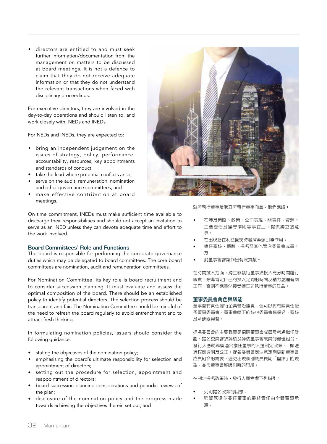directors are entitled to and must seek further information/documentation from the management on matters to be discussed at board meetings. It is not a defence to claim that they do not receive adequate information or that they do not understand the relevant transactions when faced with disciplinary proceedings.

For executive directors, they are involved in the day-to-day operations and should listen to, and work closely with, NEDs and INEDs.

For NEDs and INEDs, they are expected to:

- bring an independent judgement on the issues of strategy, policy, performance, accountability, resources, key appointments and standards of conduct;
- take the lead where potential conflicts arise;
- serve on the audit, remuneration, nomination and other governance committees; and
- make effective contribution at board meetings.

On time commitment, INEDs must make sufficient time available to discharge their responsibilities and should not accept an invitation to serve as an INED unless they can devote adequate time and effort to the work involved.

## **Board Committees' Role and Functions**

The board is responsible for performing the corporate governance duties which may be delegated to board committees. The core board committees are nomination, audit and remuneration committees.

For Nomination Committee, its key role is board recruitment and to consider succession planning. It must evaluate and assess the optimal composition of the board. There should be an established policy to identify potential directors. The selection process should be transparent and fair. The Nomination Committee should be mindful of the need to refresh the board regularly to avoid entrenchment and to attract fresh thinking.

In formulating nomination policies, issuers should consider the following guidance:

- \* stating the objectives of the nomination policy;
- emphasising the board's ultimate responsibility for selection and appointment of directors;
- setting out the procedure for selection, appointment and reappointment of directors;
- board succession planning considerations and periodic reviews of the plan;
- disclosure of the nomination policy and the progress made towards achieving the objectives therein set out; and



就非執行董事及獨立非執行董事而言,他們應該:

- 在涉及策略、政策、公司表現、問責性、資源、 主要委任及操守準則等事宜上,提供獨立的意 見;
- 在出現潛在利益衝突時發揮牽頭引導作用;
- 擔任審核、薪酬、提名及其他管治委員會成員; 及
- 對董事會會議作出有效貢獻。

在時間投入方面,獨立非執行董事須投入充分時間履行 職責,除非肯定自己可投入足夠的時間及精力處理有關 工作,否則不應貿然接受獨立非執行董事的任命。

#### **董事委員會角色與職能**

董事會有責任履行企業管治職責,但可以將有關責任授 予董事委員會。董事會轄下的核心委員會有提名、審核 及薪酬委員會。

提名委員會的主要職責是招聘董事會成員及考慮繼任計 劃。提名委員會須評核及評估董事會成員的最佳組合。 發行人應就辨識適合擔任董事的人選制定政策。 甄選 過程應透明及公正。提名委員會應注意定期更新董事會 成員組合的需要,避免出現個別成員長期「盤踞」的現 象,並令董事會能吸引新的思維。

在制定提名政策時,發行人應考慮下列指引:

- 列明提名政策的目標;
- 強調甄選並委任董事的最終責任由全體董事承 擔;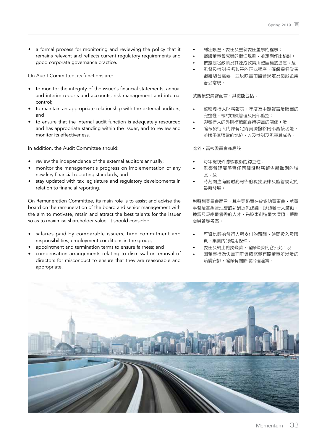a formal process for monitoring and reviewing the policy that it remains relevant and reflects current regulatory requirements and good corporate governance practice.

On Audit Committee, its functions are:

- to monitor the integrity of the issuer's financial statements, annual and interim reports and accounts, risk management and internal control;
- to maintain an appropriate relationship with the external auditors; and
- to ensure that the internal audit function is adequately resourced and has appropriate standing within the issuer, and to review and monitor its effectiveness.

In addition, the Audit Committee should:

- review the independence of the external auditors annually;
- monitor the management's progress on implementation of any new key financial reporting standards; and
- stay updated with tax legislature and regulatory developments in relation to financial reporting.

On Remuneration Committee, its main role is to assist and advise the board on the remuneration of the board and senior management with the aim to motivate, retain and attract the best talents for the issuer so as to maximise shareholder value. It should consider:

- salaries paid by comparable issuers, time commitment and responsibilities, employment conditions in the group;
- appointment and termination terms to ensure fairness; and
- compensation arrangements relating to dismissal or removal of directors for misconduct to ensure that they are reasonable and appropriate.
- 列出甄選、委任及重新委任董事的程序;
- 審議董事會成員的繼任規劃,並定期作出檢討;
- 披露提名政策及其達成政策所載目標的進度;及
- 監督及檢討提名政策的正式程序,確保提名政策 繼續切合需要,並反映當前監管規定及良好企業 管治常規。

就審核委員會而言,其職能包括:

- 監察發行人財務報表、年度及中期報告及賬目的 完整性,檢討風險管理及內部監控;
- 與發行人的外聘核數師維持適當的關係;及
- 確保發行人内部有足夠資源撥給内部審核功能, 並賦予其適當的地位,以及檢討及監察其成效。

此外,審核委員會亦應該:

- 每年檢視外聘核數師的獨立性;
- 監察管理層落實任何關鍵財務報告新準則的進 度;及
- 時刻關注有關財務報告的稅務法律及監管規定的 最新發展。

對薪酬委員會而言,其主要職責在於協助董事會,就董 事會及高級管理層的薪酬提供建議,以助發行人激勵、 挽留及吸納最優秀的人才,為股東創造最大價值。薪酬 委員會應考慮:

- 可資比較的發行人所支付的薪酬、時間投入及職 責、集團內的僱用條件;
- 委任及終止職務條款,確保條款内容公允;及
- 因董事行為失當而解僱或罷免有關董事所涉及的 賠償安排,確保有關賠償合理適當。

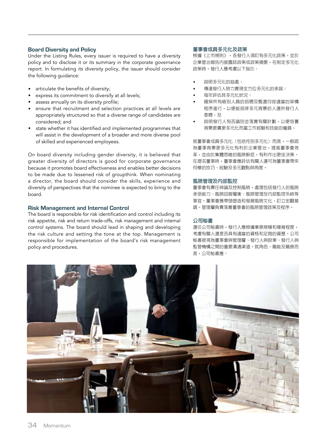# **Board Diversity and Policy**

Under the Listing Rules, every issuer is required to have a diversity policy and to disclose it or its summary in the corporate governance report. In formulating its diversity policy, the issuer should consider the following guidance:

- articulate the benefits of diversity;
- express its commitment to diversify at all levels;
- assess annually on its diversity profile;
- ensure that recruitment and selection practices at all levels are appropriately structured so that a diverse range of candidates are considered; and
- state whether it has identified and implemented programmes that will assist in the development of a broader and more diverse pool of skilled and experienced employees.

On board diversity including gender diversity, it is believed that greater diversity of directors is good for corporate governance because it promotes board effectiveness and enables better decisions to be made due to lessened risk of groupthink. When nominating a director, the board should consider the skills, experience and diversity of perspectives that the nominee is expected to bring to the board.

## **Risk Management and Internal Control**

The board is responsible for risk identification and control including its risk appetite, risk and return trade-offs, risk management and internal control systems. The board should lead in shaping and developing the risk culture and setting the tone at the top. Management is responsible for implementation of the board's risk management policy and procedures.

#### **董事會成員多元化及政策**

根據《上市規則》,各發行人須訂有多元化政策,並於 企業管治報告內披露該政策或政策摘要。在制定多元化 政策時,發行人應考慮以下指引:

- 說明多元化的益處;
- 傳達發行人致力實現全方位多元化的承諾;
- 每年評估其多元化狀況;
- 確保所有級別人員的招聘及甄選均按適當的架構 程序進行,以便能招徠多元背景的人選供發行人 委聘;及
- 說明發行人有否識別並落實有關計劃,以便培養 背景更廣更多元化而富工作經驗和技能的僱員。

就董事會成員多元化(包括性別多元化)而言,一般認 為董事背景更多元化有利於企業管治,提高董事會效 率,並由於集體思維的風險較低,有利作出更佳決策。 在提名董事時,董事會應評估有關人選可為董事會帶來 何樣的技巧、經驗及多元觀點與角度。

## **風險管理及內部監控**

董事會有責任辨識及控制風險,處理包括發行人的風險 承受能力、風險回報權衡、風險管理及內部監控系統等 事宜。董事會應帶頭塑造和發展風險文化,訂立宏觀基 調。管理層負責落實董事會的風險管理政策及程序。

#### **公司秘書**

選任公司秘書時,發行人應根據業務規模和複雜程度, 考慮有關人選是否具有適當的資格和足夠的資歷。公司 秘書被視為董事會與管理層、發行人與股東、發行人與 監管機構之間的重要溝通渠道。就角色、職能及職務而 言,公司秘書應: